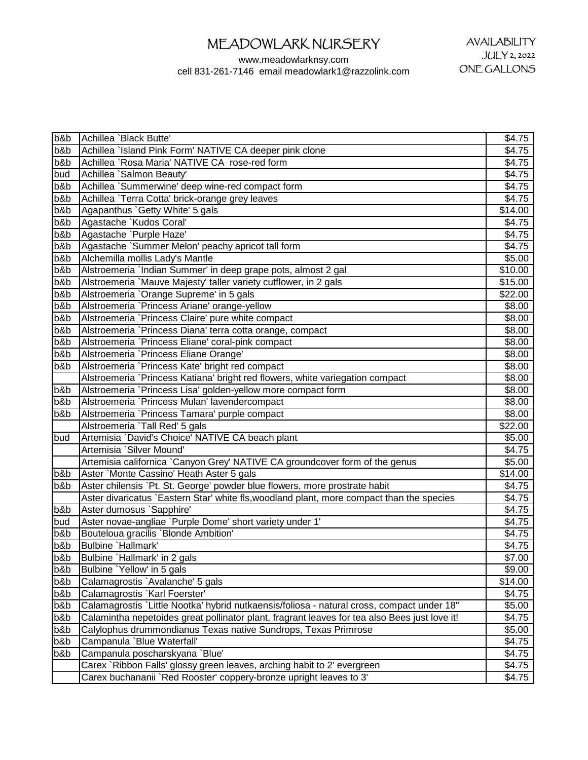| b&b | Achillea `Black Butte'                                                                        | \$4.75  |
|-----|-----------------------------------------------------------------------------------------------|---------|
| b&b | Achillea `Island Pink Form' NATIVE CA deeper pink clone                                       | \$4.75  |
| b&b | Achillea `Rosa Maria' NATIVE CA rose-red form                                                 | \$4.75  |
| bud | Achillea `Salmon Beauty'                                                                      | \$4.75  |
| b&b | Achillea `Summerwine' deep wine-red compact form                                              | \$4.75  |
| b&b | Achillea `Terra Cotta' brick-orange grey leaves                                               | \$4.75  |
| b&b | Agapanthus `Getty White' 5 gals                                                               | \$14.00 |
| b&b | Agastache `Kudos Coral'                                                                       | \$4.75  |
| b&b | Agastache `Purple Haze'                                                                       | \$4.75  |
| b&b | Agastache `Summer Melon' peachy apricot tall form                                             | \$4.75  |
| b&b | Alchemilla mollis Lady's Mantle                                                               | \$5.00  |
| b&b | Alstroemeria `Indian Summer' in deep grape pots, almost 2 gal                                 | \$10.00 |
| b&b | Alstroemeria `Mauve Majesty' taller variety cutflower, in 2 gals                              | \$15.00 |
| b&b | Alstroemeria `Orange Supreme' in 5 gals                                                       | \$22.00 |
| b&b | Alstroemeria `Princess Ariane' orange-yellow                                                  | \$8.00  |
| b&b | Alstroemeria `Princess Claire' pure white compact                                             | \$8.00  |
| b&b | Alstroemeria `Princess Diana' terra cotta orange, compact                                     | \$8.00  |
| b&b | Alstroemeria `Princess Eliane' coral-pink compact                                             | \$8.00  |
| b&b | Alstroemeria `Princess Eliane Orange'                                                         | \$8.00  |
| b&b | Alstroemeria `Princess Kate' bright red compact                                               | \$8.00  |
|     | Alstroemeria `Princess Katiana' bright red flowers, white variegation compact                 | \$8.00  |
| b&b | Alstroemeria `Princess Lisa' golden-yellow more compact form                                  | \$8.00  |
| b&b | Alstroemeria `Princess Mulan' lavendercompact                                                 | \$8.00  |
| b&b | Alstroemeria `Princess Tamara' purple compact                                                 | \$8.00  |
|     | Alstroemeria `Tall Red' 5 gals                                                                | \$22.00 |
| bud | Artemisia `David's Choice' NATIVE CA beach plant                                              | \$5.00  |
|     | Artemisia `Silver Mound'                                                                      | \$4.75  |
|     | Artemisia californica `Canyon Grey' NATIVE CA groundcover form of the genus                   | \$5.00  |
| b&b | Aster `Monte Cassino' Heath Aster 5 gals                                                      | \$14.00 |
| b&b | Aster chilensis `Pt. St. George' powder blue flowers, more prostrate habit                    | \$4.75  |
|     | Aster divaricatus `Eastern Star' white fls, woodland plant, more compact than the species     | \$4.75  |
| b&b | Aster dumosus `Sapphire'                                                                      | \$4.75  |
| bud | Aster novae-angliae `Purple Dome' short variety under 1'                                      | \$4.75  |
| b&b | Bouteloua gracilis `Blonde Ambition'                                                          | \$4.75  |
| b&b | Bulbine `Hallmark'                                                                            | \$4.75  |
| b&b | Bulbine `Hallmark' in 2 gals                                                                  | \$7.00  |
| b&b | Bulbine `Yellow' in 5 gals                                                                    | \$9.00  |
| b&b | Calamagrostis `Avalanche' 5 gals                                                              | \$14.00 |
| b&b | Calamagrostis `Karl Foerster'                                                                 | \$4.75  |
| b&b | Calamagrostis `Little Nootka' hybrid nutkaensis/foliosa - natural cross, compact under 18"    | \$5.00  |
| b&b | Calamintha nepetoides great pollinator plant, fragrant leaves for tea also Bees just love it! | \$4.75  |
| b&b | Calylophus drummondianus Texas native Sundrops, Texas Primrose                                | \$5.00  |
| b&b | Campanula `Blue Waterfall'                                                                    | \$4.75  |
| b&b | Campanula poscharskyana `Blue'                                                                | \$4.75  |
|     | Carex `Ribbon Falls' glossy green leaves, arching habit to 2' evergreen                       | \$4.75  |
|     | Carex buchananii `Red Rooster' coppery-bronze upright leaves to 3'                            | \$4.75  |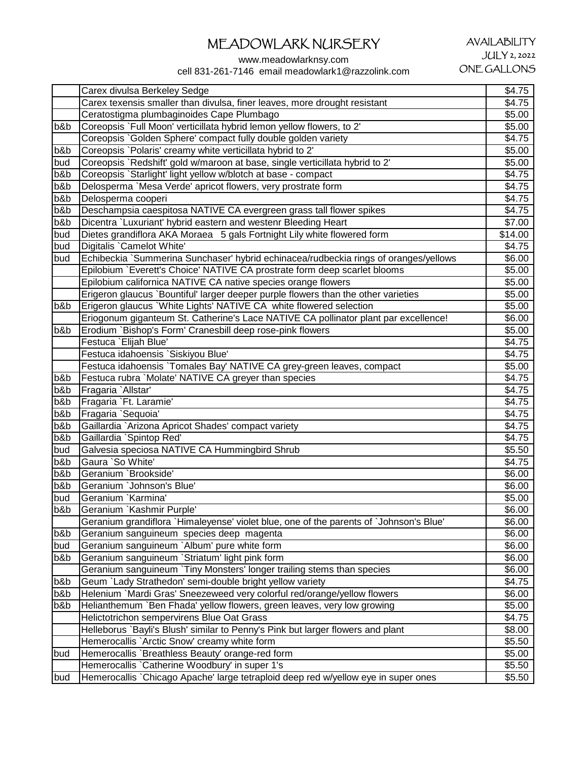### AVAILABILITY JULY 2, 2022 ONE GALLONS

|        | Carex divulsa Berkeley Sedge                                                           | \$4.75  |
|--------|----------------------------------------------------------------------------------------|---------|
|        | Carex texensis smaller than divulsa, finer leaves, more drought resistant              | \$4.75  |
|        | Ceratostigma plumbaginoides Cape Plumbago                                              | \$5.00  |
| b&b    | Coreopsis `Full Moon' verticillata hybrid lemon yellow flowers, to 2'                  | \$5.00  |
|        | Coreopsis `Golden Sphere' compact fully double golden variety                          | \$4.75  |
| b&b    | Coreopsis `Polaris' creamy white verticillata hybrid to 2'                             | \$5.00  |
| bud    | Coreopsis `Redshift' gold w/maroon at base, single verticillata hybrid to 2'           | \$5.00  |
| b&b    | Coreopsis `Starlight' light yellow w/blotch at base - compact                          | \$4.75  |
| b&b    | Delosperma `Mesa Verde' apricot flowers, very prostrate form                           | \$4.75  |
| b&b    | Delosperma cooperi                                                                     | \$4.75  |
| b&b    | Deschampsia caespitosa NATIVE CA evergreen grass tall flower spikes                    | \$4.75  |
| b&b    | Dicentra `Luxuriant' hybrid eastern and westenr Bleeding Heart                         | \$7.00  |
| bud    | Dietes grandiflora AKA Moraea 5 gals Fortnight Lily white flowered form                | \$14.00 |
| bud    | Digitalis `Camelot White'                                                              | \$4.75  |
| bud    | Echibeckia `Summerina Sunchaser' hybrid echinacea/rudbeckia rings of oranges/yellows   | \$6.00  |
|        | Epilobium `Everett's Choice' NATIVE CA prostrate form deep scarlet blooms              | \$5.00  |
|        | Epilobium californica NATIVE CA native species orange flowers                          | \$5.00  |
|        | Erigeron glaucus `Bountiful' larger deeper purple flowers than the other varieties     | \$5.00  |
| b&b    | Erigeron glaucus `White Lights' NATIVE CA white flowered selection                     | \$5.00  |
|        | Eriogonum giganteum St. Catherine's Lace NATIVE CA pollinator plant par excellence!    | \$6.00  |
| b&b    | Erodium `Bishop's Form' Cranesbill deep rose-pink flowers                              | \$5.00  |
|        | Festuca `Elijah Blue'                                                                  | \$4.75  |
|        | Festuca idahoensis `Siskiyou Blue'                                                     | \$4.75  |
|        | Festuca idahoensis Tomales Bay' NATIVE CA grey-green leaves, compact                   | \$5.00  |
| b&b    | Festuca rubra `Molate' NATIVE CA greyer than species                                   | \$4.75  |
| b&b    | Fragaria `Allstar'                                                                     | \$4.75  |
| b&b    | Fragaria `Ft. Laramie'                                                                 | \$4.75  |
| b&b    | Fragaria `Sequoia'                                                                     | \$4.75  |
| b&b    | Gaillardia `Arizona Apricot Shades' compact variety                                    | \$4.75  |
| b&b    | Gaillardia `Spintop Red'                                                               | \$4.75  |
| bud    | Galvesia speciosa NATIVE CA Hummingbird Shrub                                          | \$5.50  |
| b&b    | Gaura `So White'                                                                       | \$4.75  |
| b&b    | Geranium `Brookside'                                                                   | \$6.00  |
| b&b    | Geranium 'Johnson's Blue'                                                              | \$6.00  |
| bud    | Geranium `Karmina'                                                                     | \$5.00  |
| $b$ &b | Geranium `Kashmir Purple'                                                              | \$6.00  |
|        | Geranium grandiflora `Himaleyense' violet blue, one of the parents of `Johnson's Blue' | \$6.00  |
| b&b    | Geranium sanguineum species deep magenta                                               | \$6.00  |
| bud    | Geranium sanguineum `Album' pure white form                                            | \$6.00  |
| b&b    | Geranium sanguineum `Striatum' light pink form                                         | \$6.00  |
|        | Geranium sanguineum `Tiny Monsters' longer trailing stems than species                 | \$6.00  |
| b&b    | Geum `Lady Strathedon' semi-double bright yellow variety                               | \$4.75  |
| b&b    | Helenium `Mardi Gras' Sneezeweed very colorful red/orange/yellow flowers               | \$6.00  |
| b&b    | Helianthemum `Ben Fhada' yellow flowers, green leaves, very low growing                | \$5.00  |
|        | Helictotrichon sempervirens Blue Oat Grass                                             | \$4.75  |
|        | Helleborus `Bayli's Blush' similar to Penny's Pink but larger flowers and plant        | \$8.00  |
|        | Hemerocallis `Arctic Snow' creamy white form                                           | \$5.50  |
| bud    | Hemerocallis `Breathless Beauty' orange-red form                                       | \$5.00  |
|        | Hemerocallis `Catherine Woodbury' in super 1's                                         | \$5.50  |
| bud    | Hemerocallis `Chicago Apache' large tetraploid deep red w/yellow eye in super ones     | \$5.50  |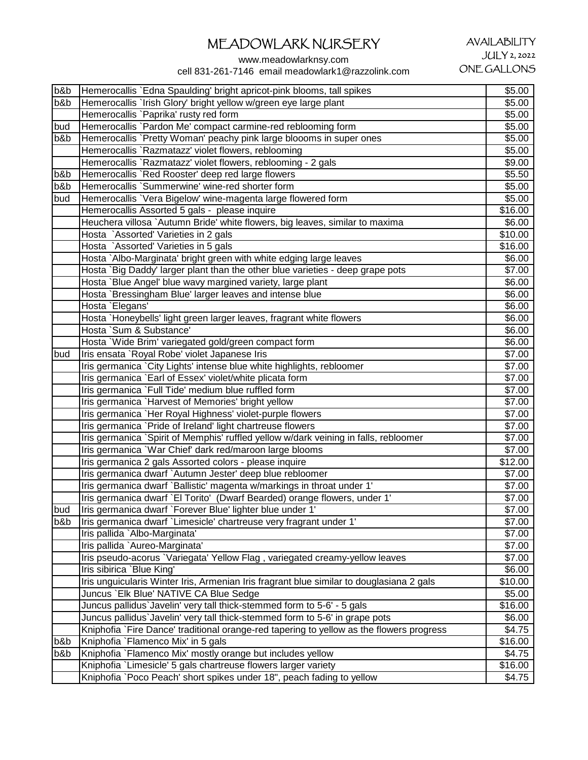www.meadowlarknsy.com

cell 831-261-7146 email meadowlark1@razzolink.com

#### b&b |Hemerocallis `Edna Spaulding' bright apricot-pink blooms, tall spikes **blooms** 65.00 b&b Hemerocallis `Irish Glory' bright yellow w/green eye large plant  $\sim$  \$5.000 Hemerocallis `Paprika' rusty red form \$5.00 bud | Hemerocallis `Pardon Me' compact carmine-red reblooming form **\$5.00** \$5.00 b&b Hemerocallis `Pretty Woman' peachy pink large bloooms in super ones \$5.00 Hemerocallis `Razmatazz' violet flowers, reblooming **by the set of the set of the set of the set of the set of the set of the set of the set of the set of the set of the set of the set of the set of the set of the set of t** Hemerocallis `Razmatazz' violet flowers, reblooming - 2 gals **\$9.00** \$9.00 b&b Hemerocallis `Red Rooster' deep red large flowers \$5.50 b&b Hemerocallis `Summerwine' wine-red shorter form bud Hemerocallis `Vera Bigelow' wine-magenta large flowered form \$5.00 Hemerocallis Assorted 5 gals - please inquire  $\blacksquare$  \$16.00 Heuchera villosa `Autumn Bride' white flowers, big leaves, similar to maxima  $\sim$  \$6.00 Hosta `Assorted' Varieties in 2 gals **\$10.00 b**  $\qquad \qquad$  \$10.00 Hosta `Assorted' Varieties in 5 gals **\$16.00 State and State and State Association \$16.00 \$16.00** Hosta `Albo-Marginata' bright green with white edging large leaves \$6.00 Hosta `Big Daddy' larger plant than the other blue varieties - deep grape pots **\$7.00**<br>Hosta `Blue Angel' blue wavy margined variety, large plant Hosta `Blue Angel' blue wavy margined variety, large plant Hosta `Bressingham Blue' larger leaves and intense blue \$6.00 \$6.00 Hosta `Elegans' \$6.00 Hosta `Honeybells' light green larger leaves, fragrant white flowers  $$6.00$ <br>Hosta `Sum & Substance' \$6.00 Hosta `Sum & Substance' Hosta `Wide Brim' variegated gold/green compact form \$6.00<br>
Iris ensata `Roval Robe' violet Japanese Iris \$7.00 bud Iris ensata `Royal Robe' violet Japanese Iris Iris germanica `City Lights' intense blue white highlights, rebloomer **1998 1998 1998 1998 1998 1999 1999** Iris germanica `Earl of Essex' violet/white plicata form  $$7.00$ <br>Iris germanica `Full Tide' medium blue ruffled form  $$7.00$ Iris germanica `Full Tide' medium blue ruffled form Iris germanica `Harvest of Memories' bright yellow **\$7.00 \$7.00** Iris germanica `Her Royal Highness' violet-purple flowers \$7.00 Iris germanica `Pride of Ireland' light chartreuse flowers Iris germanica `Spirit of Memphis' ruffled vellow w/dark veining in falls, rebloomer **1998** 197.00 Iris germanica `War Chief' dark red/maroon large blooms \$7.00<br>Iris germanica 2 gals Assorted colors - please inquire \$12.00 Iris germanica 2 gals Assorted colors - please inquire Iris germanica dwarf `Autumn Jester' deep blue rebloomer<br>Iris germanica dwarf `Ballistic' magenta w/markings in throat under 1' \$7.00 Iris germanica dwarf `Ballistic' magenta w/markings in throat under 1' Iris germanica dwarf `El Torito' (Dwarf Bearded) orange flowers, under 1' **1988** 197.00 bud | Iris germanica dwarf `Forever Blue' lighter blue under 1' \$7.00 b&b Iris germanica dwarf `Limesicle' chartreuse very fragrant under 1' \$7.00 Iris pallida `Albo-Marginata' \$7.00 Iris pallida `Aureo-Marginata' \$7.00<br>Iris pseudo-acorus `Variegata' Yellow Flag , variegated creamy-vellow leaves \$7.00 Iris pseudo-acorus `Variegata' Yellow Flag, variegated creamy-yellow leaves Iris sibirica `Blue King' \$6.00 Iris unguicularis Winter Iris, Armenian Iris fragrant blue similar to douglasiana 2 gals \$10.00 Juncus `Elk Blue' NATIVE CA Blue Sedge \$5.00 Juncus pallidus`Javelin' very tall thick-stemmed form to 5-6' - 5 gals \$16.00 Juncus pallidus`Javelin' very tall thick-stemmed form to 5-6' in grape pots \$6.00 Kniphofia `Fire Dance' traditional orange-red tapering to yellow as the flowers progress  $\sim$  \$4.75 b&b Kniphofia `Flamenco Mix' in 5 gals \$16.00 b&b Kniphofia `Flamenco Mix' mostly orange but includes yellow **\$4.75** (\$4.75) Kniphofia `Limesicle' 5 gals chartreuse flowers larger variety **\$16.00** \$16.00 Kniphofia `Poco Peach' short spikes under 18", peach fading to yellow \$4.75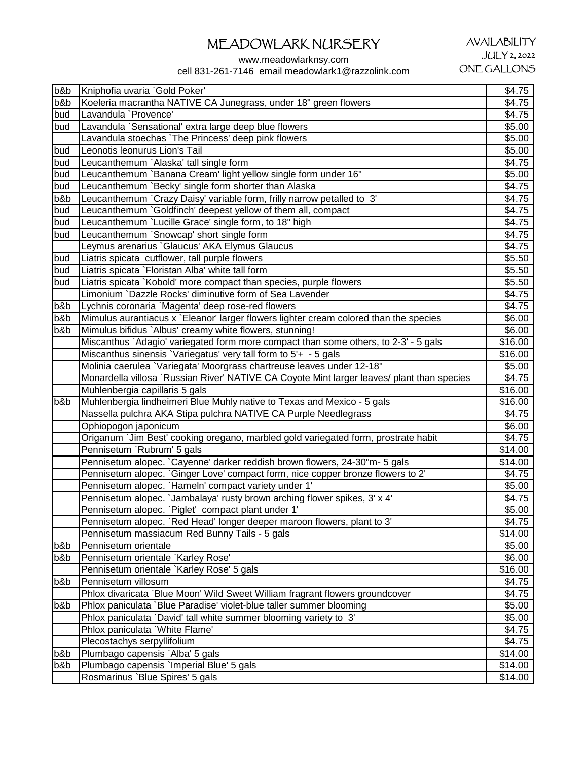www.meadowlarknsy.com cell 831-261-7146 email meadowlark1@razzolink.com

| b&b | Kniphofia uvaria `Gold Poker'                                                              | \$4.75          |
|-----|--------------------------------------------------------------------------------------------|-----------------|
| b&b | Koeleria macrantha NATIVE CA Junegrass, under 18" green flowers                            | \$4.75          |
| bud | Lavandula `Provence'                                                                       | \$4.75          |
| bud | Lavandula `Sensational' extra large deep blue flowers                                      | \$5.00          |
|     | Lavandula stoechas `The Princess' deep pink flowers                                        | \$5.00          |
| bud | Leonotis leonurus Lion's Tail                                                              | \$5.00          |
| bud | Leucanthemum `Alaska' tall single form                                                     | \$4.75          |
| bud | Leucanthemum `Banana Cream' light yellow single form under 16"                             | \$5.00          |
| bud | Leucanthemum `Becky' single form shorter than Alaska                                       | \$4.75          |
| b&b | Leucanthemum `Crazy Daisy' variable form, frilly narrow petalled to 3'                     | \$4.75          |
| bud | Leucanthemum `Goldfinch' deepest yellow of them all, compact                               | \$4.75          |
| bud | Leucanthemum `Lucille Grace' single form, to 18" high                                      | \$4.75          |
| bud | Leucanthemum `Snowcap' short single form                                                   | \$4.75          |
|     | Leymus arenarius `Glaucus' AKA Elymus Glaucus                                              | \$4.75          |
| bud | Liatris spicata cutflower, tall purple flowers                                             | \$5.50          |
| bud | Liatris spicata `Floristan Alba' white tall form                                           | \$5.50          |
| bud | Liatris spicata `Kobold' more compact than species, purple flowers                         | \$5.50          |
|     | Limonium `Dazzle Rocks' diminutive form of Sea Lavender                                    | \$4.75          |
| b&b | Lychnis coronaria `Magenta' deep rose-red flowers                                          | \$4.75          |
| b&b | Mimulus aurantiacus x `Eleanor' larger flowers lighter cream colored than the species      | \$6.00          |
| b&b | Mimulus bifidus `Albus' creamy white flowers, stunning!                                    | \$6.00          |
|     | Miscanthus `Adagio' variegated form more compact than some others, to 2-3' - 5 gals        | \$16.00         |
|     | Miscanthus sinensis `Variegatus' very tall form to 5'+ - 5 gals                            | \$16.00         |
|     | Molinia caerulea `Variegata' Moorgrass chartreuse leaves under 12-18"                      | \$5.00          |
|     | Monardella villosa `Russian River' NATIVE CA Coyote Mint larger leaves/ plant than species | \$4.75          |
|     | Muhlenbergia capillaris 5 gals                                                             | \$16.00         |
| b&b | Muhlenbergia lindheimeri Blue Muhly native to Texas and Mexico - 5 gals                    | $\sqrt{$16.00}$ |
|     | Nassella pulchra AKA Stipa pulchra NATIVE CA Purple Needlegrass                            | \$4.75          |
|     | Ophiopogon japonicum                                                                       | \$6.00          |
|     | Origanum `Jim Best' cooking oregano, marbled gold variegated form, prostrate habit         | \$4.75          |
|     | Pennisetum `Rubrum' 5 gals                                                                 | \$14.00         |
|     | Pennisetum alopec. `Cayenne' darker reddish brown flowers, 24-30"m- 5 gals                 | \$14.00         |
|     | Pennisetum alopec. `Ginger Love' compact form, nice copper bronze flowers to 2'            | \$4.75          |
|     | Pennisetum alopec. `Hameln' compact variety under 1'                                       | \$5.00          |
|     | Pennisetum alopec. `Jambalaya' rusty brown arching flower spikes, 3' x 4'                  | \$4.75          |
|     | Pennisetum alopec. `Piglet' compact plant under 1'                                         | \$5.00          |
|     | Pennisetum alopec. `Red Head' longer deeper maroon flowers, plant to 3'                    | \$4.75          |
|     | Pennisetum massiacum Red Bunny Tails - 5 gals                                              | \$14.00         |
| b&b | Pennisetum orientale                                                                       | \$5.00          |
| b&b | Pennisetum orientale `Karley Rose'                                                         | \$6.00          |
|     | Pennisetum orientale `Karley Rose' 5 gals                                                  | \$16.00         |
| b&b | Pennisetum villosum                                                                        | \$4.75          |
|     | Phlox divaricata `Blue Moon' Wild Sweet William fragrant flowers groundcover               | \$4.75          |
| b&b | Phlox paniculata `Blue Paradise' violet-blue taller summer blooming                        | \$5.00          |
|     | Phlox paniculata `David' tall white summer blooming variety to 3'                          | \$5.00          |
|     | Phlox paniculata `White Flame'                                                             | \$4.75          |
|     | Plecostachys serpyllifolium                                                                | \$4.75          |
| b&b | Plumbago capensis `Alba' 5 gals                                                            | \$14.00         |
| b&b | Plumbago capensis `Imperial Blue' 5 gals                                                   | \$14.00         |
|     | Rosmarinus `Blue Spires' 5 gals                                                            | \$14.00         |
|     |                                                                                            |                 |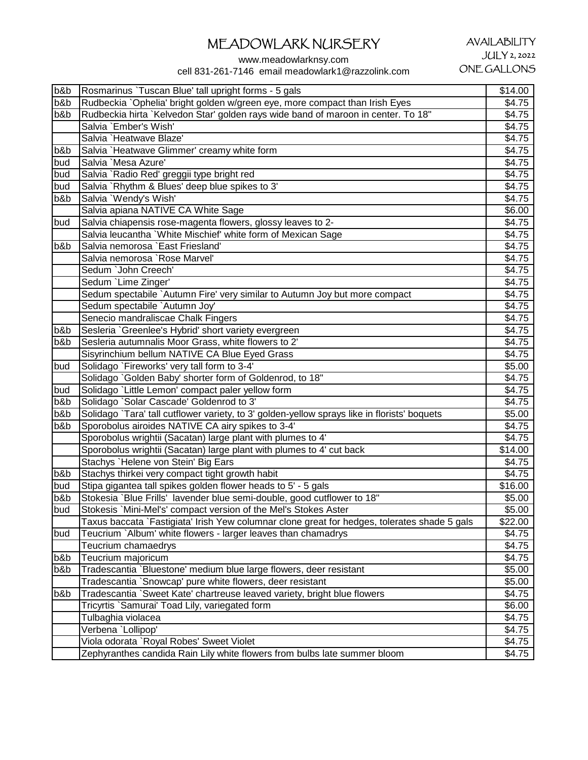www.meadowlarknsy.com

cell 831-261-7146 email meadowlark1@razzolink.com

| b&b | Rosmarinus `Tuscan Blue' tall upright forms - 5 gals                                         | \$14.00 |
|-----|----------------------------------------------------------------------------------------------|---------|
| b&b | Rudbeckia `Ophelia' bright golden w/green eye, more compact than Irish Eyes                  | \$4.75  |
| b&b | Rudbeckia hirta `Kelvedon Star' golden rays wide band of maroon in center. To 18"            | \$4.75  |
|     | Salvia `Ember's Wish'                                                                        | \$4.75  |
|     | Salvia `Heatwave Blaze'                                                                      | \$4.75  |
| b&b | Salvia `Heatwave Glimmer' creamy white form                                                  | \$4.75  |
| bud | Salvia `Mesa Azure'                                                                          | \$4.75  |
| bud | Salvia `Radio Red' greggii type bright red                                                   | \$4.75  |
| bud | Salvia `Rhythm & Blues' deep blue spikes to 3'                                               | \$4.75  |
| b&b | Salvia `Wendy's Wish'                                                                        | \$4.75  |
|     | Salvia apiana NATIVE CA White Sage                                                           | \$6.00  |
| bud | Salvia chiapensis rose-magenta flowers, glossy leaves to 2-                                  | \$4.75  |
|     | Salvia leucantha `White Mischief' white form of Mexican Sage                                 | \$4.75  |
| b&b | Salvia nemorosa `East Friesland'                                                             | \$4.75  |
|     | Salvia nemorosa `Rose Marvel'                                                                | \$4.75  |
|     | Sedum `John Creech'                                                                          | \$4.75  |
|     | Sedum `Lime Zinger'                                                                          | \$4.75  |
|     | Sedum spectabile `Autumn Fire' very similar to Autumn Joy but more compact                   | \$4.75  |
|     | Sedum spectabile `Autumn Joy'                                                                | \$4.75  |
|     | Senecio mandraliscae Chalk Fingers                                                           | \$4.75  |
| b&b | Sesleria `Greenlee's Hybrid' short variety evergreen                                         | \$4.75  |
| b&b | Sesleria autumnalis Moor Grass, white flowers to 2'                                          | \$4.75  |
|     | Sisyrinchium bellum NATIVE CA Blue Eyed Grass                                                | \$4.75  |
| bud | Solidago `Fireworks' very tall form to 3-4'                                                  | \$5.00  |
|     | Solidago `Golden Baby' shorter form of Goldenrod, to 18"                                     | \$4.75  |
| bud | Solidago `Little Lemon' compact paler yellow form                                            | \$4.75  |
| b&b | Solidago `Solar Cascade' Goldenrod to 3'                                                     | \$4.75  |
| b&b | Solidago `Tara' tall cutflower variety, to 3' golden-yellow sprays like in florists' boquets | \$5.00  |
| b&b | Sporobolus airoides NATIVE CA airy spikes to 3-4'                                            | \$4.75  |
|     | Sporobolus wrightii (Sacatan) large plant with plumes to 4'                                  | \$4.75  |
|     | Sporobolus wrightii (Sacatan) large plant with plumes to 4' cut back                         | \$14.00 |
|     | Stachys `Helene von Stein' Big Ears                                                          | \$4.75  |
| b&b | Stachys thirkei very compact tight growth habit                                              | \$4.75  |
| bud | Stipa gigantea tall spikes golden flower heads to 5' - 5 gals                                | \$16.00 |
| b&b | Stokesia `Blue Frills' lavender blue semi-double, good cutflower to 18"                      | \$5.00  |
| bud | Stokesis `Mini-Mel's' compact version of the Mel's Stokes Aster                              | \$5.00  |
|     | Taxus baccata `Fastigiata' Irish Yew columnar clone great for hedges, tolerates shade 5 gals | \$22.00 |
| bud | Teucrium `Album' white flowers - larger leaves than chamadrys                                | \$4.75  |
|     | Teucrium chamaedrys                                                                          | \$4.75  |
| b&b | Teucrium majoricum                                                                           | \$4.75  |
| b&b | Tradescantia `Bluestone' medium blue large flowers, deer resistant                           | \$5.00  |
|     | Tradescantia `Snowcap' pure white flowers, deer resistant                                    | \$5.00  |
| b&b | Tradescantia `Sweet Kate' chartreuse leaved variety, bright blue flowers                     | \$4.75  |
|     | Tricyrtis `Samurai' Toad Lily, variegated form                                               | \$6.00  |
|     | Tulbaghia violacea                                                                           | \$4.75  |
|     | Verbena 'Lollipop'                                                                           | \$4.75  |
|     | Viola odorata `Royal Robes' Sweet Violet                                                     | \$4.75  |
|     | Zephyranthes candida Rain Lily white flowers from bulbs late summer bloom                    | \$4.75  |